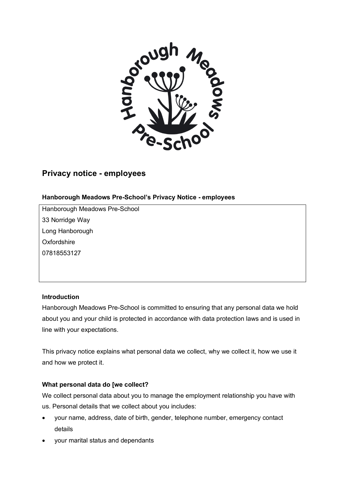

# **Privacy notice - employees**

## **Hanborough Meadows Pre-School's Privacy Notice - employees**

Hanborough Meadows Pre-School 33 Norridge Way Long Hanborough **Oxfordshire** 07818553127

#### **Introduction**

Hanborough Meadows Pre-School is committed to ensuring that any personal data we hold about you and your child is protected in accordance with data protection laws and is used in line with your expectations.

This privacy notice explains what personal data we collect, why we collect it, how we use it and how we protect it.

#### **What personal data do [we collect?**

We collect personal data about you to manage the employment relationship you have with us. Personal details that we collect about you includes:

- your name, address, date of birth, gender, telephone number, emergency contact details
- your marital status and dependants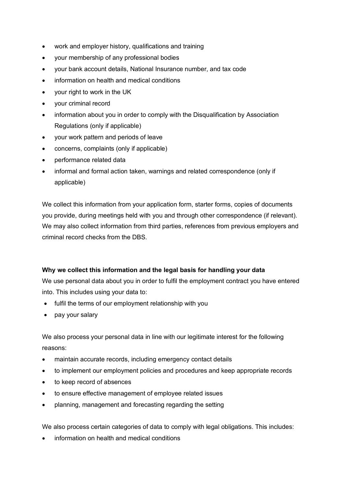- work and employer history, qualifications and training
- your membership of any professional bodies
- your bank account details, National Insurance number, and tax code
- information on health and medical conditions
- your right to work in the UK
- your criminal record
- information about you in order to comply with the Disqualification by Association Regulations (only if applicable)
- your work pattern and periods of leave
- concerns, complaints (only if applicable)
- performance related data
- informal and formal action taken, warnings and related correspondence (only if applicable)

We collect this information from your application form, starter forms, copies of documents you provide, during meetings held with you and through other correspondence (if relevant). We may also collect information from third parties, references from previous employers and criminal record checks from the DBS.

# **Why we collect this information and the legal basis for handling your data**

We use personal data about you in order to fulfil the employment contract you have entered into. This includes using your data to:

- fulfil the terms of our employment relationship with you
- pay your salary

We also process your personal data in line with our legitimate interest for the following reasons:

- maintain accurate records, including emergency contact details
- to implement our employment policies and procedures and keep appropriate records
- to keep record of absences
- to ensure effective management of employee related issues
- planning, management and forecasting regarding the setting

We also process certain categories of data to comply with legal obligations. This includes:

• information on health and medical conditions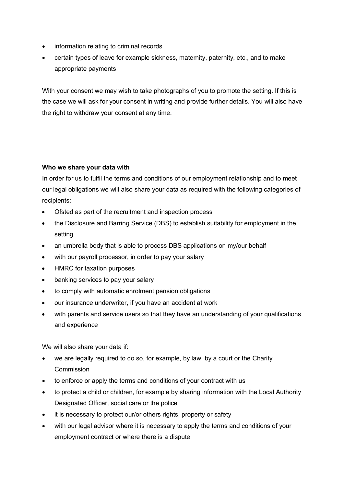- information relating to criminal records
- certain types of leave for example sickness, maternity, paternity, etc., and to make appropriate payments

With your consent we may wish to take photographs of you to promote the setting. If this is the case we will ask for your consent in writing and provide further details. You will also have the right to withdraw your consent at any time.

# **Who we share your data with**

In order for us to fulfil the terms and conditions of our employment relationship and to meet our legal obligations we will also share your data as required with the following categories of recipients:

- Ofsted as part of the recruitment and inspection process
- the Disclosure and Barring Service (DBS) to establish suitability for employment in the setting
- an umbrella body that is able to process DBS applications on my/our behalf
- with our payroll processor, in order to pay your salary
- HMRC for taxation purposes
- banking services to pay your salary
- to comply with automatic enrolment pension obligations
- our insurance underwriter, if you have an accident at work
- with parents and service users so that they have an understanding of your qualifications and experience

We will also share your data if:

- we are legally required to do so, for example, by law, by a court or the Charity Commission
- to enforce or apply the terms and conditions of your contract with us
- to protect a child or children, for example by sharing information with the Local Authority Designated Officer, social care or the police
- it is necessary to protect our/or others rights, property or safety
- with our legal advisor where it is necessary to apply the terms and conditions of your employment contract or where there is a dispute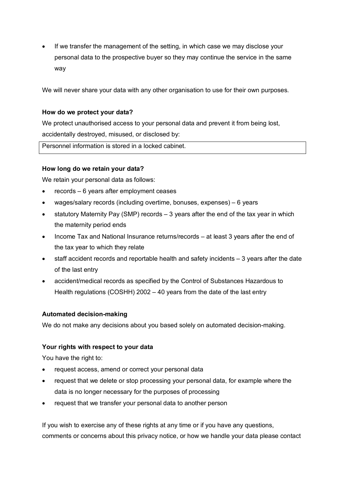If we transfer the management of the setting, in which case we may disclose your personal data to the prospective buyer so they may continue the service in the same way

We will never share your data with any other organisation to use for their own purposes.

### **How do we protect your data?**

We protect unauthorised access to your personal data and prevent it from being lost, accidentally destroyed, misused, or disclosed by:

Personnel information is stored in a locked cabinet.

## **How long do we retain your data?**

We retain your personal data as follows:

- records 6 years after employment ceases
- wages/salary records (including overtime, bonuses, expenses) 6 years
- statutory Maternity Pay (SMP) records  $-3$  years after the end of the tax year in which the maternity period ends
- Income Tax and National Insurance returns/records at least 3 years after the end of the tax year to which they relate
- staff accident records and reportable health and safety incidents 3 years after the date of the last entry
- accident/medical records as specified by the Control of Substances Hazardous to Health regulations (COSHH) 2002 – 40 years from the date of the last entry

#### **Automated decision-making**

We do not make any decisions about you based solely on automated decision-making.

# **Your rights with respect to your data**

You have the right to:

- request access, amend or correct your personal data
- request that we delete or stop processing your personal data, for example where the data is no longer necessary for the purposes of processing
- request that we transfer your personal data to another person

If you wish to exercise any of these rights at any time or if you have any questions, comments or concerns about this privacy notice, or how we handle your data please contact